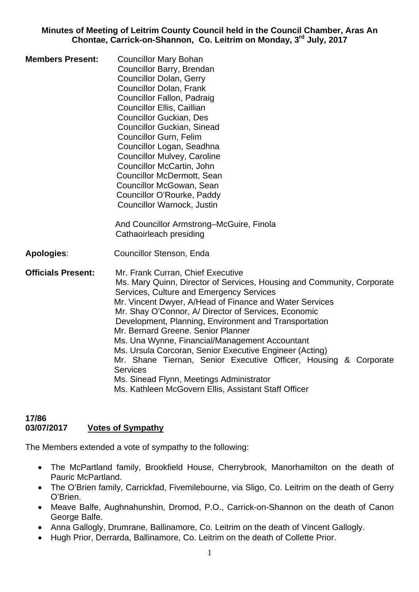**Minutes of Meeting of Leitrim County Council held in the Council Chamber, Aras An Chontae, Carrick-on-Shannon, Co. Leitrim on Monday, 3rd July, 2017** 

**Members Present:** Councillor Mary Bohan Councillor Barry, Brendan Councillor Dolan, Gerry Councillor Dolan, Frank Councillor Fallon, Padraig Councillor Ellis, Caillian Councillor Guckian, Des Councillor Guckian, Sinead Councillor Gurn, Felim Councillor Logan, Seadhna Councillor Mulvey, Caroline Councillor McCartin, John Councillor McDermott, Sean Councillor McGowan, Sean Councillor O'Rourke, Paddy Councillor Warnock, Justin

> And Councillor Armstrong–McGuire, Finola Cathaoirleach presiding

- **Apologies**: Councillor Stenson, Enda
- **Officials Present:** Mr. Frank Curran, Chief Executive Ms. Mary Quinn, Director of Services, Housing and Community, Corporate Services, Culture and Emergency Services Mr. Vincent Dwyer, A/Head of Finance and Water Services Mr. Shay O'Connor, A/ Director of Services, Economic Development, Planning, Environment and Transportation Mr. Bernard Greene. Senior Planner Ms. Una Wynne, Financial/Management Accountant Ms. Ursula Corcoran, Senior Executive Engineer (Acting) Mr. Shane Tiernan, Senior Executive Officer, Housing & Corporate Services Ms. Sinead Flynn, Meetings Administrator Ms. Kathleen McGovern Ellis, Assistant Staff Officer

#### **17/86 03/07/2017 Votes of Sympathy**

The Members extended a vote of sympathy to the following:

- The McPartland family, Brookfield House, Cherrybrook, Manorhamilton on the death of Pauric McPartland.
- The O'Brien family, Carrickfad, Fivemilebourne, via Sligo, Co. Leitrim on the death of Gerry O'Brien.
- Meave Balfe, Aughnahunshin, Dromod, P.O., Carrick-on-Shannon on the death of Canon George Balfe.
- Anna Gallogly, Drumrane, Ballinamore, Co. Leitrim on the death of Vincent Gallogly.
- Hugh Prior, Derrarda, Ballinamore, Co. Leitrim on the death of Collette Prior.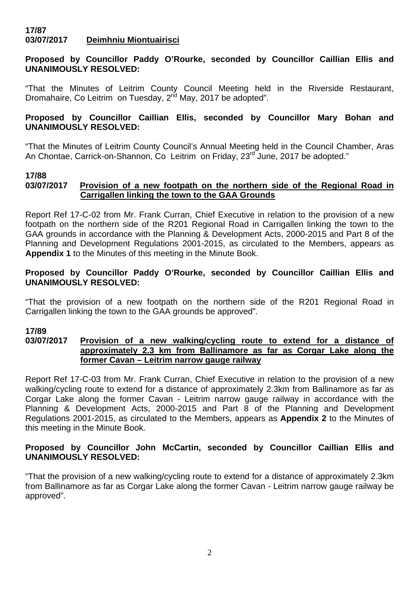#### **17/87 03/07/2017 Deimhniu Miontuairisci**

## **Proposed by Councillor Paddy O'Rourke, seconded by Councillor Caillian Ellis and UNANIMOUSLY RESOLVED:**

"That the Minutes of Leitrim County Council Meeting held in the Riverside Restaurant, Dromahaire, Co Leitrim on Tuesday, 2<sup>nd</sup> May, 2017 be adopted".

## **Proposed by Councillor Caillian Ellis, seconded by Councillor Mary Bohan and UNANIMOUSLY RESOLVED:**

"That the Minutes of Leitrim County Council's Annual Meeting held in the Council Chamber, Aras An Chontae, Carrick-on-Shannon, Co Leitrim on Friday, 23<sup>rd</sup> June, 2017 be adopted."

#### **17/88**

## **03/07/2017 Provision of a new footpath on the northern side of the Regional Road in Carrigallen linking the town to the GAA Grounds**

Report Ref 17-C-02 from Mr. Frank Curran, Chief Executive in relation to the provision of a new footpath on the northern side of the R201 Regional Road in Carrigallen linking the town to the GAA grounds in accordance with the Planning & Development Acts, 2000-2015 and Part 8 of the Planning and Development Regulations 2001-2015, as circulated to the Members, appears as **Appendix 1** to the Minutes of this meeting in the Minute Book.

## **Proposed by Councillor Paddy O'Rourke, seconded by Councillor Caillian Ellis and UNANIMOUSLY RESOLVED:**

"That the provision of a new footpath on the northern side of the R201 Regional Road in Carrigallen linking the town to the GAA grounds be approved".

## **17/89**

#### **03/07/2017 Provision of a new walking/cycling route to extend for a distance of approximately 2.3 km from Ballinamore as far as Corgar Lake along the former Cavan – Leitrim narrow gauge railway**

Report Ref 17-C-03 from Mr. Frank Curran, Chief Executive in relation to the provision of a new walking/cycling route to extend for a distance of approximately 2.3km from Ballinamore as far as Corgar Lake along the former Cavan - Leitrim narrow gauge railway in accordance with the Planning & Development Acts, 2000-2015 and Part 8 of the Planning and Development Regulations 2001-2015, as circulated to the Members, appears as **Appendix 2** to the Minutes of this meeting in the Minute Book.

## **Proposed by Councillor John McCartin, seconded by Councillor Caillian Ellis and UNANIMOUSLY RESOLVED:**

"That the provision of a new walking/cycling route to extend for a distance of approximately 2.3km from Ballinamore as far as Corgar Lake along the former Cavan - Leitrim narrow gauge railway be approved".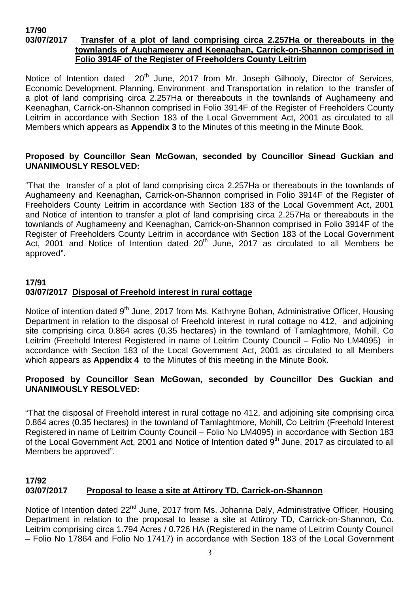#### **17/90 03/07/2017 Transfer of a plot of land comprising circa 2.257Ha or thereabouts in the townlands of Aughameeny and Keenaghan, Carrick-on-Shannon comprised in Folio 3914F of the Register of Freeholders County Leitrim**

Notice of Intention dated 20<sup>th</sup> June, 2017 from Mr. Joseph Gilhooly, Director of Services, Economic Development, Planning, Environment and Transportation in relation to the transfer of a plot of land comprising circa 2.257Ha or thereabouts in the townlands of Aughameeny and Keenaghan, Carrick-on-Shannon comprised in Folio 3914F of the Register of Freeholders County Leitrim in accordance with Section 183 of the Local Government Act, 2001 as circulated to all Members which appears as **Appendix 3** to the Minutes of this meeting in the Minute Book.

## **Proposed by Councillor Sean McGowan, seconded by Councillor Sinead Guckian and UNANIMOUSLY RESOLVED:**

"That the transfer of a plot of land comprising circa 2.257Ha or thereabouts in the townlands of Aughameeny and Keenaghan, Carrick-on-Shannon comprised in Folio 3914F of the Register of Freeholders County Leitrim in accordance with Section 183 of the Local Government Act, 2001 and Notice of intention to transfer a plot of land comprising circa 2.257Ha or thereabouts in the townlands of Aughameeny and Keenaghan, Carrick-on-Shannon comprised in Folio 3914F of the Register of Freeholders County Leitrim in accordance with Section 183 of the Local Government Act, 2001 and Notice of Intention dated  $20<sup>th</sup>$  June, 2017 as circulated to all Members be approved".

# **17/91 03/07/2017 Disposal of Freehold interest in rural cottage**

Notice of intention dated 9<sup>th</sup> June, 2017 from Ms. Kathryne Bohan, Administrative Officer, Housing Department in relation to the disposal of Freehold interest in rural cottage no 412, and adjoining site comprising circa 0.864 acres (0.35 hectares) in the townland of Tamlaghtmore, Mohill, Co Leitrim (Freehold Interest Registered in name of Leitrim County Council – Folio No LM4095) in accordance with Section 183 of the Local Government Act, 2001 as circulated to all Members which appears as **Appendix 4** to the Minutes of this meeting in the Minute Book.

## **Proposed by Councillor Sean McGowan, seconded by Councillor Des Guckian and UNANIMOUSLY RESOLVED:**

"That the disposal of Freehold interest in rural cottage no 412, and adjoining site comprising circa 0.864 acres (0.35 hectares) in the townland of Tamlaghtmore, Mohill, Co Leitrim (Freehold Interest Registered in name of Leitrim County Council – Folio No LM4095) in accordance with Section 183 of the Local Government Act, 2001 and Notice of Intention dated 9<sup>th</sup> June, 2017 as circulated to all Members be approved".

# **17/92 03/07/2017 Proposal to lease a site at Attirory TD, Carrick-on-Shannon**

Notice of Intention dated 22<sup>nd</sup> June, 2017 from Ms. Johanna Daly, Administrative Officer, Housing Department in relation to the proposal to lease a site at Attirory TD, Carrick-on-Shannon, Co. Leitrim comprising circa 1.794 Acres / 0.726 HA (Registered in the name of Leitrim County Council – Folio No 17864 and Folio No 17417) in accordance with Section 183 of the Local Government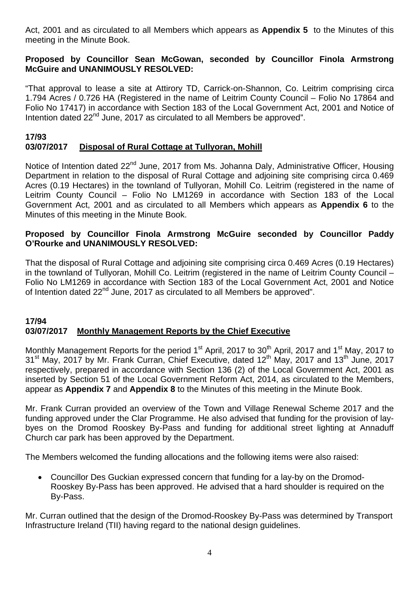Act, 2001 and as circulated to all Members which appears as **Appendix 5** to the Minutes of this meeting in the Minute Book.

## **Proposed by Councillor Sean McGowan, seconded by Councillor Finola Armstrong McGuire and UNANIMOUSLY RESOLVED:**

"That approval to lease a site at Attirory TD, Carrick-on-Shannon, Co. Leitrim comprising circa 1.794 Acres / 0.726 HA (Registered in the name of Leitrim County Council – Folio No 17864 and Folio No 17417) in accordance with Section 183 of the Local Government Act, 2001 and Notice of Intention dated  $22<sup>nd</sup>$  June, 2017 as circulated to all Members be approved".

## **17/93**

## **03/07/2017 Disposal of Rural Cottage at Tullyoran, Mohill**

Notice of Intention dated 22<sup>nd</sup> June, 2017 from Ms. Johanna Daly, Administrative Officer, Housing Department in relation to the disposal of Rural Cottage and adjoining site comprising circa 0.469 Acres (0.19 Hectares) in the townland of Tullyoran, Mohill Co. Leitrim (registered in the name of Leitrim County Council – Folio No LM1269 in accordance with Section 183 of the Local Government Act, 2001 and as circulated to all Members which appears as **Appendix 6** to the Minutes of this meeting in the Minute Book.

## **Proposed by Councillor Finola Armstrong McGuire seconded by Councillor Paddy O'Rourke and UNANIMOUSLY RESOLVED:**

That the disposal of Rural Cottage and adjoining site comprising circa 0.469 Acres (0.19 Hectares) in the townland of Tullyoran, Mohill Co. Leitrim (registered in the name of Leitrim County Council – Folio No LM1269 in accordance with Section 183 of the Local Government Act, 2001 and Notice of Intention dated 22<sup>nd</sup> June, 2017 as circulated to all Members be approved".

#### **17/94 03/07/2017 Monthly Management Reports by the Chief Executive**

Monthly Management Reports for the period 1<sup>st</sup> April, 2017 to 30<sup>th</sup> April, 2017 and 1<sup>st</sup> May, 2017 to 31<sup>st</sup> May, 2017 by Mr. Frank Curran, Chief Executive, dated 12<sup>th</sup> May, 2017 and 13<sup>th</sup> June, 2017 respectively, prepared in accordance with Section 136 (2) of the Local Government Act, 2001 as inserted by Section 51 of the Local Government Reform Act, 2014, as circulated to the Members, appear as **Appendix 7** and **Appendix 8** to the Minutes of this meeting in the Minute Book.

Mr. Frank Curran provided an overview of the Town and Village Renewal Scheme 2017 and the funding approved under the Clar Programme. He also advised that funding for the provision of laybyes on the Dromod Rooskey By-Pass and funding for additional street lighting at Annaduff Church car park has been approved by the Department.

The Members welcomed the funding allocations and the following items were also raised:

• Councillor Des Guckian expressed concern that funding for a lay-by on the Dromod-Rooskey By-Pass has been approved. He advised that a hard shoulder is required on the By-Pass.

Mr. Curran outlined that the design of the Dromod-Rooskey By-Pass was determined by Transport Infrastructure Ireland (TII) having regard to the national design guidelines.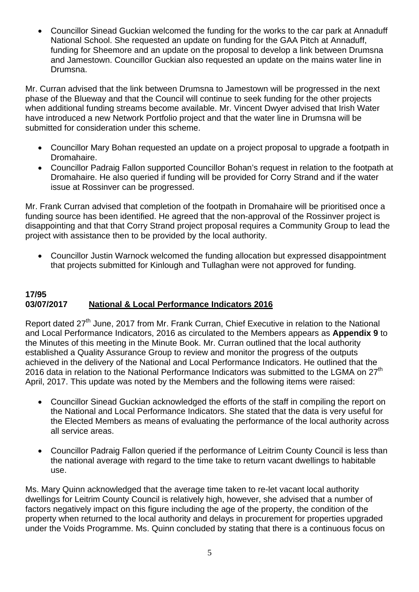• Councillor Sinead Guckian welcomed the funding for the works to the car park at Annaduff National School. She requested an update on funding for the GAA Pitch at Annaduff, funding for Sheemore and an update on the proposal to develop a link between Drumsna and Jamestown. Councillor Guckian also requested an update on the mains water line in Drumsna.

Mr. Curran advised that the link between Drumsna to Jamestown will be progressed in the next phase of the Blueway and that the Council will continue to seek funding for the other projects when additional funding streams become available. Mr. Vincent Dwyer advised that Irish Water have introduced a new Network Portfolio project and that the water line in Drumsna will be submitted for consideration under this scheme.

- Councillor Mary Bohan requested an update on a project proposal to upgrade a footpath in Dromahaire.
- Councillor Padraig Fallon supported Councillor Bohan's request in relation to the footpath at Dromahaire. He also queried if funding will be provided for Corry Strand and if the water issue at Rossinver can be progressed.

Mr. Frank Curran advised that completion of the footpath in Dromahaire will be prioritised once a funding source has been identified. He agreed that the non-approval of the Rossinver project is disappointing and that that Corry Strand project proposal requires a Community Group to lead the project with assistance then to be provided by the local authority.

• Councillor Justin Warnock welcomed the funding allocation but expressed disappointment that projects submitted for Kinlough and Tullaghan were not approved for funding.

#### **17/95 03/07/2017 National & Local Performance Indicators 2016**

Report dated 27<sup>th</sup> June, 2017 from Mr. Frank Curran, Chief Executive in relation to the National and Local Performance Indicators, 2016 as circulated to the Members appears as **Appendix 9** to the Minutes of this meeting in the Minute Book. Mr. Curran outlined that the local authority established a Quality Assurance Group to review and monitor the progress of the outputs achieved in the delivery of the National and Local Performance Indicators. He outlined that the 2016 data in relation to the National Performance Indicators was submitted to the LGMA on 27<sup>th</sup> April, 2017. This update was noted by the Members and the following items were raised:

- Councillor Sinead Guckian acknowledged the efforts of the staff in compiling the report on the National and Local Performance Indicators. She stated that the data is very useful for the Elected Members as means of evaluating the performance of the local authority across all service areas.
- Councillor Padraig Fallon queried if the performance of Leitrim County Council is less than the national average with regard to the time take to return vacant dwellings to habitable use.

Ms. Mary Quinn acknowledged that the average time taken to re-let vacant local authority dwellings for Leitrim County Council is relatively high, however, she advised that a number of factors negatively impact on this figure including the age of the property, the condition of the property when returned to the local authority and delays in procurement for properties upgraded under the Voids Programme. Ms. Quinn concluded by stating that there is a continuous focus on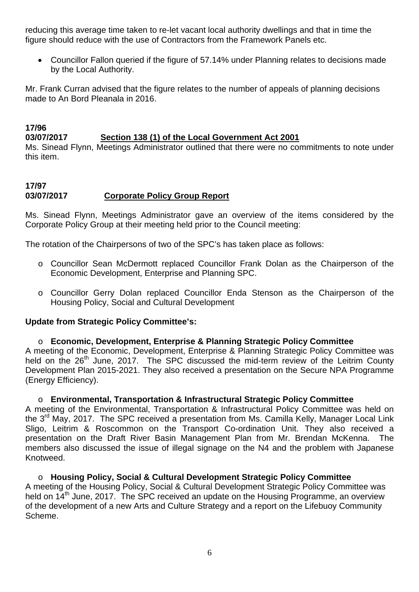reducing this average time taken to re-let vacant local authority dwellings and that in time the figure should reduce with the use of Contractors from the Framework Panels etc.

• Councillor Fallon queried if the figure of 57.14% under Planning relates to decisions made by the Local Authority.

Mr. Frank Curran advised that the figure relates to the number of appeals of planning decisions made to An Bord Pleanala in 2016.

# **03/07/2017 Section 138 (1) of the Local Government Act 2001**

Ms. Sinead Flynn, Meetings Administrator outlined that there were no commitments to note under this item.

# **17/97 03/07/2017 Corporate Policy Group Report**

**17/96** 

Ms. Sinead Flynn, Meetings Administrator gave an overview of the items considered by the Corporate Policy Group at their meeting held prior to the Council meeting:

The rotation of the Chairpersons of two of the SPC's has taken place as follows:

- o Councillor Sean McDermott replaced Councillor Frank Dolan as the Chairperson of the Economic Development, Enterprise and Planning SPC.
- o Councillor Gerry Dolan replaced Councillor Enda Stenson as the Chairperson of the Housing Policy, Social and Cultural Development

#### **Update from Strategic Policy Committee's:**

#### o **Economic, Development, Enterprise & Planning Strategic Policy Committee**

A meeting of the Economic, Development, Enterprise & Planning Strategic Policy Committee was held on the 26<sup>th</sup> June, 2017. The SPC discussed the mid-term review of the Leitrim County Development Plan 2015-2021. They also received a presentation on the Secure NPA Programme (Energy Efficiency).

#### o **Environmental, Transportation & Infrastructural Strategic Policy Committee**

A meeting of the Environmental, Transportation & Infrastructural Policy Committee was held on the  $3<sup>rd</sup>$  May, 2017. The SPC received a presentation from Ms. Camilla Kelly, Manager Local Link Sligo, Leitrim & Roscommon on the Transport Co-ordination Unit. They also received a presentation on the Draft River Basin Management Plan from Mr. Brendan McKenna. The members also discussed the issue of illegal signage on the N4 and the problem with Japanese Knotweed.

o **Housing Policy, Social & Cultural Development Strategic Policy Committee**  A meeting of the Housing Policy, Social & Cultural Development Strategic Policy Committee was held on 14<sup>th</sup> June, 2017. The SPC received an update on the Housing Programme, an overview of the development of a new Arts and Culture Strategy and a report on the Lifebuoy Community Scheme.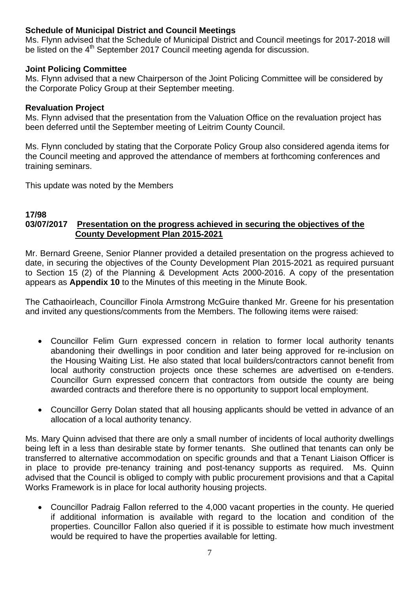## **Schedule of Municipal District and Council Meetings**

Ms. Flynn advised that the Schedule of Municipal District and Council meetings for 2017-2018 will be listed on the 4<sup>th</sup> September 2017 Council meeting agenda for discussion.

## **Joint Policing Committee**

Ms. Flynn advised that a new Chairperson of the Joint Policing Committee will be considered by the Corporate Policy Group at their September meeting.

## **Revaluation Project**

Ms. Flynn advised that the presentation from the Valuation Office on the revaluation project has been deferred until the September meeting of Leitrim County Council.

Ms. Flynn concluded by stating that the Corporate Policy Group also considered agenda items for the Council meeting and approved the attendance of members at forthcoming conferences and training seminars.

This update was noted by the Members

#### **17/98 03/07/2017 Presentation on the progress achieved in securing the objectives of the County Development Plan 2015-2021**

Mr. Bernard Greene, Senior Planner provided a detailed presentation on the progress achieved to date, in securing the objectives of the County Development Plan 2015-2021 as required pursuant to Section 15 (2) of the Planning & Development Acts 2000-2016. A copy of the presentation appears as **Appendix 10** to the Minutes of this meeting in the Minute Book.

The Cathaoirleach, Councillor Finola Armstrong McGuire thanked Mr. Greene for his presentation and invited any questions/comments from the Members. The following items were raised:

- Councillor Felim Gurn expressed concern in relation to former local authority tenants abandoning their dwellings in poor condition and later being approved for re-inclusion on the Housing Waiting List. He also stated that local builders/contractors cannot benefit from local authority construction projects once these schemes are advertised on e-tenders. Councillor Gurn expressed concern that contractors from outside the county are being awarded contracts and therefore there is no opportunity to support local employment.
- Councillor Gerry Dolan stated that all housing applicants should be vetted in advance of an allocation of a local authority tenancy.

Ms. Mary Quinn advised that there are only a small number of incidents of local authority dwellings being left in a less than desirable state by former tenants. She outlined that tenants can only be transferred to alternative accommodation on specific grounds and that a Tenant Liaison Officer is in place to provide pre-tenancy training and post-tenancy supports as required. Ms. Quinn advised that the Council is obliged to comply with public procurement provisions and that a Capital Works Framework is in place for local authority housing projects.

• Councillor Padraig Fallon referred to the 4,000 vacant properties in the county. He queried if additional information is available with regard to the location and condition of the properties. Councillor Fallon also queried if it is possible to estimate how much investment would be required to have the properties available for letting.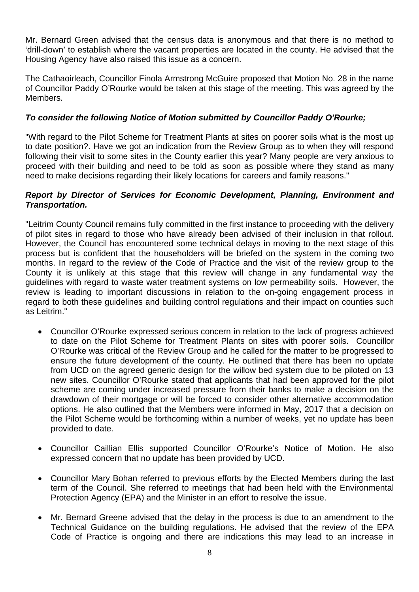Mr. Bernard Green advised that the census data is anonymous and that there is no method to 'drill-down' to establish where the vacant properties are located in the county. He advised that the Housing Agency have also raised this issue as a concern.

The Cathaoirleach, Councillor Finola Armstrong McGuire proposed that Motion No. 28 in the name of Councillor Paddy O'Rourke would be taken at this stage of the meeting. This was agreed by the Members.

## *To consider the following Notice of Motion submitted by Councillor Paddy O'Rourke;*

"With regard to the Pilot Scheme for Treatment Plants at sites on poorer soils what is the most up to date position?. Have we got an indication from the Review Group as to when they will respond following their visit to some sites in the County earlier this year? Many people are very anxious to proceed with their building and need to be told as soon as possible where they stand as many need to make decisions regarding their likely locations for careers and family reasons."

#### *Report by Director of Services for Economic Development, Planning, Environment and Transportation.*

"Leitrim County Council remains fully committed in the first instance to proceeding with the delivery of pilot sites in regard to those who have already been advised of their inclusion in that rollout. However, the Council has encountered some technical delays in moving to the next stage of this process but is confident that the householders will be briefed on the system in the coming two months. In regard to the review of the Code of Practice and the visit of the review group to the County it is unlikely at this stage that this review will change in any fundamental way the guidelines with regard to waste water treatment systems on low permeability soils. However, the review is leading to important discussions in relation to the on-going engagement process in regard to both these guidelines and building control regulations and their impact on counties such as Leitrim."

- Councillor O'Rourke expressed serious concern in relation to the lack of progress achieved to date on the Pilot Scheme for Treatment Plants on sites with poorer soils. Councillor O'Rourke was critical of the Review Group and he called for the matter to be progressed to ensure the future development of the county. He outlined that there has been no update from UCD on the agreed generic design for the willow bed system due to be piloted on 13 new sites. Councillor O'Rourke stated that applicants that had been approved for the pilot scheme are coming under increased pressure from their banks to make a decision on the drawdown of their mortgage or will be forced to consider other alternative accommodation options. He also outlined that the Members were informed in May, 2017 that a decision on the Pilot Scheme would be forthcoming within a number of weeks, yet no update has been provided to date.
- Councillor Caillian Ellis supported Councillor O'Rourke's Notice of Motion. He also expressed concern that no update has been provided by UCD.
- Councillor Mary Bohan referred to previous efforts by the Elected Members during the last term of the Council. She referred to meetings that had been held with the Environmental Protection Agency (EPA) and the Minister in an effort to resolve the issue.
- Mr. Bernard Greene advised that the delay in the process is due to an amendment to the Technical Guidance on the building regulations. He advised that the review of the EPA Code of Practice is ongoing and there are indications this may lead to an increase in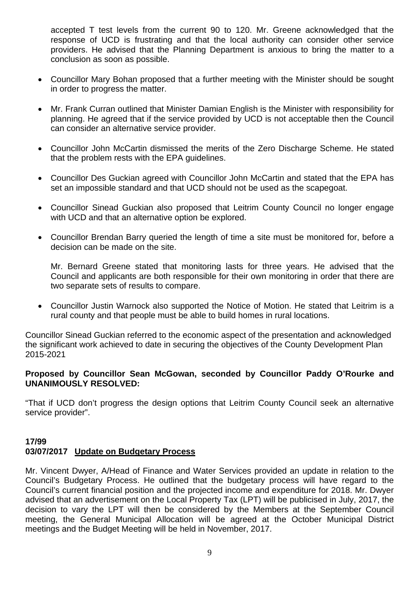accepted T test levels from the current 90 to 120. Mr. Greene acknowledged that the response of UCD is frustrating and that the local authority can consider other service providers. He advised that the Planning Department is anxious to bring the matter to a conclusion as soon as possible.

- Councillor Mary Bohan proposed that a further meeting with the Minister should be sought in order to progress the matter.
- Mr. Frank Curran outlined that Minister Damian English is the Minister with responsibility for planning. He agreed that if the service provided by UCD is not acceptable then the Council can consider an alternative service provider.
- Councillor John McCartin dismissed the merits of the Zero Discharge Scheme. He stated that the problem rests with the EPA guidelines.
- Councillor Des Guckian agreed with Councillor John McCartin and stated that the EPA has set an impossible standard and that UCD should not be used as the scapegoat.
- Councillor Sinead Guckian also proposed that Leitrim County Council no longer engage with UCD and that an alternative option be explored.
- Councillor Brendan Barry queried the length of time a site must be monitored for, before a decision can be made on the site.

Mr. Bernard Greene stated that monitoring lasts for three years. He advised that the Council and applicants are both responsible for their own monitoring in order that there are two separate sets of results to compare.

• Councillor Justin Warnock also supported the Notice of Motion. He stated that Leitrim is a rural county and that people must be able to build homes in rural locations.

Councillor Sinead Guckian referred to the economic aspect of the presentation and acknowledged the significant work achieved to date in securing the objectives of the County Development Plan 2015-2021

#### **Proposed by Councillor Sean McGowan, seconded by Councillor Paddy O'Rourke and UNANIMOUSLY RESOLVED:**

"That if UCD don't progress the design options that Leitrim County Council seek an alternative service provider".

## **17/99 03/07/2017 Update on Budgetary Process**

Mr. Vincent Dwyer, A/Head of Finance and Water Services provided an update in relation to the Council's Budgetary Process. He outlined that the budgetary process will have regard to the Council's current financial position and the projected income and expenditure for 2018. Mr. Dwyer advised that an advertisement on the Local Property Tax (LPT) will be publicised in July, 2017, the decision to vary the LPT will then be considered by the Members at the September Council meeting, the General Municipal Allocation will be agreed at the October Municipal District meetings and the Budget Meeting will be held in November, 2017.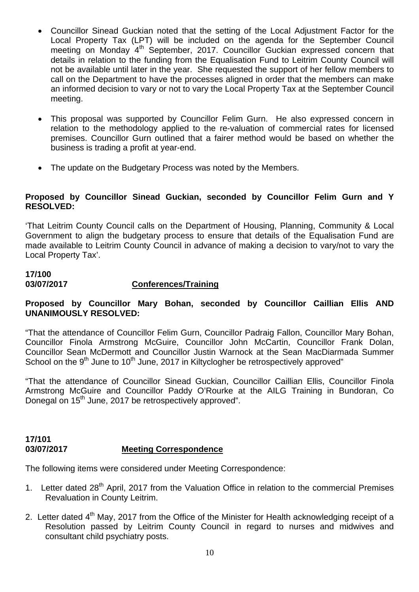- Councillor Sinead Guckian noted that the setting of the Local Adjustment Factor for the Local Property Tax (LPT) will be included on the agenda for the September Council meeting on Monday 4<sup>th</sup> September, 2017. Councillor Guckian expressed concern that details in relation to the funding from the Equalisation Fund to Leitrim County Council will not be available until later in the year. She requested the support of her fellow members to call on the Department to have the processes aligned in order that the members can make an informed decision to vary or not to vary the Local Property Tax at the September Council meeting.
- This proposal was supported by Councillor Felim Gurn. He also expressed concern in relation to the methodology applied to the re-valuation of commercial rates for licensed premises. Councillor Gurn outlined that a fairer method would be based on whether the business is trading a profit at year-end.
- The update on the Budgetary Process was noted by the Members.

#### **Proposed by Councillor Sinead Guckian, seconded by Councillor Felim Gurn and Y RESOLVED:**

'That Leitrim County Council calls on the Department of Housing, Planning, Community & Local Government to align the budgetary process to ensure that details of the Equalisation Fund are made available to Leitrim County Council in advance of making a decision to vary/not to vary the Local Property Tax'.

# **17/100**

#### **03/07/2017 Conferences/Training**

## **Proposed by Councillor Mary Bohan, seconded by Councillor Caillian Ellis AND UNANIMOUSLY RESOLVED:**

"That the attendance of Councillor Felim Gurn, Councillor Padraig Fallon, Councillor Mary Bohan, Councillor Finola Armstrong McGuire, Councillor John McCartin, Councillor Frank Dolan, Councillor Sean McDermott and Councillor Justin Warnock at the Sean MacDiarmada Summer School on the  $9<sup>th</sup>$  June to 10<sup>th</sup> June, 2017 in Kiltyclogher be retrospectively approved"

"That the attendance of Councillor Sinead Guckian, Councillor Caillian Ellis, Councillor Finola Armstrong McGuire and Councillor Paddy O'Rourke at the AILG Training in Bundoran, Co Donegal on 15<sup>th</sup> June, 2017 be retrospectively approved".

## **17/101 03/07/2017 Meeting Correspondence**

The following items were considered under Meeting Correspondence:

- 1. Letter dated 28<sup>th</sup> April, 2017 from the Valuation Office in relation to the commercial Premises Revaluation in County Leitrim.
- 2. Letter dated 4<sup>th</sup> May, 2017 from the Office of the Minister for Health acknowledging receipt of a Resolution passed by Leitrim County Council in regard to nurses and midwives and consultant child psychiatry posts.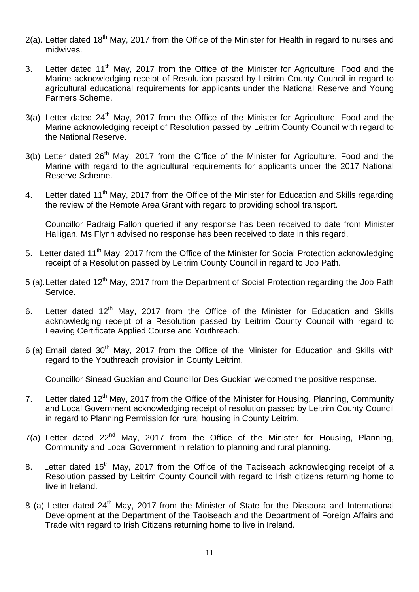- $2(a)$ . Letter dated 18<sup>th</sup> May, 2017 from the Office of the Minister for Health in regard to nurses and midwives.
- 3. Letter dated 11<sup>th</sup> May, 2017 from the Office of the Minister for Agriculture, Food and the Marine acknowledging receipt of Resolution passed by Leitrim County Council in regard to agricultural educational requirements for applicants under the National Reserve and Young Farmers Scheme.
- 3(a) Letter dated 24<sup>th</sup> May, 2017 from the Office of the Minister for Agriculture, Food and the Marine acknowledging receipt of Resolution passed by Leitrim County Council with regard to the National Reserve.
- 3(b) Letter dated 26<sup>th</sup> May, 2017 from the Office of the Minister for Agriculture, Food and the Marine with regard to the agricultural requirements for applicants under the 2017 National Reserve Scheme.
- 4. Letter dated 11<sup>th</sup> May, 2017 from the Office of the Minister for Education and Skills regarding the review of the Remote Area Grant with regard to providing school transport.

Councillor Padraig Fallon queried if any response has been received to date from Minister Halligan. Ms Flynn advised no response has been received to date in this regard.

- 5. Letter dated 11<sup>th</sup> May, 2017 from the Office of the Minister for Social Protection acknowledging receipt of a Resolution passed by Leitrim County Council in regard to Job Path.
- 5 (a). Letter dated 12<sup>th</sup> May, 2017 from the Department of Social Protection regarding the Job Path Service.
- 6. Letter dated  $12<sup>th</sup>$  May, 2017 from the Office of the Minister for Education and Skills acknowledging receipt of a Resolution passed by Leitrim County Council with regard to Leaving Certificate Applied Course and Youthreach.
- $6$  (a) Email dated  $30<sup>th</sup>$  May, 2017 from the Office of the Minister for Education and Skills with regard to the Youthreach provision in County Leitrim.

Councillor Sinead Guckian and Councillor Des Guckian welcomed the positive response.

- 7. Letter dated 12<sup>th</sup> May, 2017 from the Office of the Minister for Housing, Planning, Community and Local Government acknowledging receipt of resolution passed by Leitrim County Council in regard to Planning Permission for rural housing in County Leitrim.
- $7(a)$  Letter dated  $22^{nd}$  May,  $2017$  from the Office of the Minister for Housing, Planning, Community and Local Government in relation to planning and rural planning.
- 8. Letter dated 15<sup>th</sup> May, 2017 from the Office of the Taoiseach acknowledging receipt of a Resolution passed by Leitrim County Council with regard to Irish citizens returning home to live in Ireland.
- 8 (a) Letter dated 24<sup>th</sup> May, 2017 from the Minister of State for the Diaspora and International Development at the Department of the Taoiseach and the Department of Foreign Affairs and Trade with regard to Irish Citizens returning home to live in Ireland.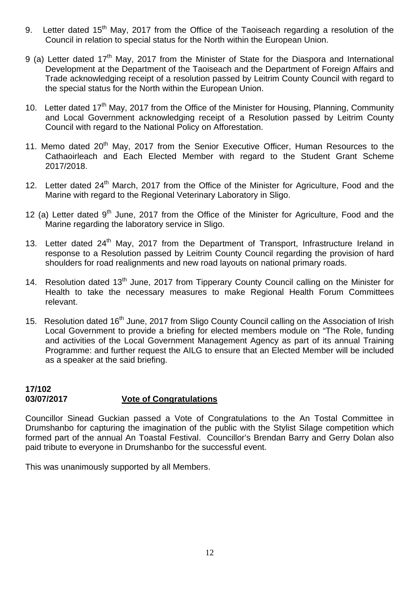- 9. Letter dated 15<sup>th</sup> May, 2017 from the Office of the Taoiseach regarding a resolution of the Council in relation to special status for the North within the European Union.
- 9 (a) Letter dated 17<sup>th</sup> May, 2017 from the Minister of State for the Diaspora and International Development at the Department of the Taoiseach and the Department of Foreign Affairs and Trade acknowledging receipt of a resolution passed by Leitrim County Council with regard to the special status for the North within the European Union.
- 10. Letter dated  $17<sup>th</sup>$  May, 2017 from the Office of the Minister for Housing, Planning, Community and Local Government acknowledging receipt of a Resolution passed by Leitrim County Council with regard to the National Policy on Afforestation.
- 11. Memo dated 20<sup>th</sup> May, 2017 from the Senior Executive Officer, Human Resources to the Cathaoirleach and Each Elected Member with regard to the Student Grant Scheme 2017/2018.
- 12. Letter dated 24<sup>th</sup> March, 2017 from the Office of the Minister for Agriculture, Food and the Marine with regard to the Regional Veterinary Laboratory in Sligo.
- 12 (a) Letter dated  $9<sup>th</sup>$  June, 2017 from the Office of the Minister for Agriculture, Food and the Marine regarding the laboratory service in Sligo.
- 13. Letter dated 24<sup>th</sup> May, 2017 from the Department of Transport, Infrastructure Ireland in response to a Resolution passed by Leitrim County Council regarding the provision of hard shoulders for road realignments and new road layouts on national primary roads.
- 14. Resolution dated 13<sup>th</sup> June, 2017 from Tipperary County Council calling on the Minister for Health to take the necessary measures to make Regional Health Forum Committees relevant.
- 15. Resolution dated 16<sup>th</sup> June, 2017 from Sligo County Council calling on the Association of Irish Local Government to provide a briefing for elected members module on "The Role, funding and activities of the Local Government Management Agency as part of its annual Training Programme: and further request the AILG to ensure that an Elected Member will be included as a speaker at the said briefing.

#### **17/102 03/07/2017 Vote of Congratulations**

Councillor Sinead Guckian passed a Vote of Congratulations to the An Tostal Committee in Drumshanbo for capturing the imagination of the public with the Stylist Silage competition which formed part of the annual An Toastal Festival. Councillor's Brendan Barry and Gerry Dolan also paid tribute to everyone in Drumshanbo for the successful event.

This was unanimously supported by all Members.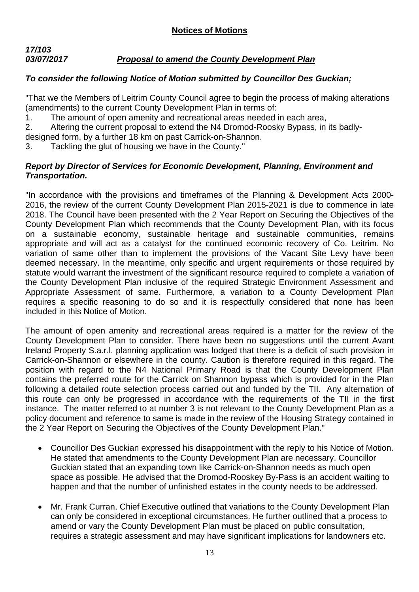## *17/103 03/07/2017 Proposal to amend the County Development Plan*

# *To consider the following Notice of Motion submitted by Councillor Des Guckian;*

"That we the Members of Leitrim County Council agree to begin the process of making alterations (amendments) to the current County Development Plan in terms of:

- 1. The amount of open amenity and recreational areas needed in each area,
- 2. Altering the current proposal to extend the N4 Dromod-Roosky Bypass, in its badly-

designed form, by a further 18 km on past Carrick-on-Shannon.

3. Tackling the glut of housing we have in the County."

## *Report by Director of Services for Economic Development, Planning, Environment and Transportation.*

"In accordance with the provisions and timeframes of the Planning & Development Acts 2000- 2016, the review of the current County Development Plan 2015-2021 is due to commence in late 2018. The Council have been presented with the 2 Year Report on Securing the Objectives of the County Development Plan which recommends that the County Development Plan, with its focus on a sustainable economy, sustainable heritage and sustainable communities, remains appropriate and will act as a catalyst for the continued economic recovery of Co. Leitrim. No variation of same other than to implement the provisions of the Vacant Site Levy have been deemed necessary. In the meantime, only specific and urgent requirements or those required by statute would warrant the investment of the significant resource required to complete a variation of the County Development Plan inclusive of the required Strategic Environment Assessment and Appropriate Assessment of same. Furthermore, a variation to a County Development Plan requires a specific reasoning to do so and it is respectfully considered that none has been included in this Notice of Motion.

The amount of open amenity and recreational areas required is a matter for the review of the County Development Plan to consider. There have been no suggestions until the current Avant Ireland Property S.a.r.l. planning application was lodged that there is a deficit of such provision in Carrick-on-Shannon or elsewhere in the county. Caution is therefore required in this regard. The position with regard to the N4 National Primary Road is that the County Development Plan contains the preferred route for the Carrick on Shannon bypass which is provided for in the Plan following a detailed route selection process carried out and funded by the TII. Any alternation of this route can only be progressed in accordance with the requirements of the TII in the first instance. The matter referred to at number 3 is not relevant to the County Development Plan as a policy document and reference to same is made in the review of the Housing Strategy contained in the 2 Year Report on Securing the Objectives of the County Development Plan."

- Councillor Des Guckian expressed his disappointment with the reply to his Notice of Motion. He stated that amendments to the County Development Plan are necessary. Councillor Guckian stated that an expanding town like Carrick-on-Shannon needs as much open space as possible. He advised that the Dromod-Rooskey By-Pass is an accident waiting to happen and that the number of unfinished estates in the county needs to be addressed.
- Mr. Frank Curran, Chief Executive outlined that variations to the County Development Plan can only be considered in exceptional circumstances. He further outlined that a process to amend or vary the County Development Plan must be placed on public consultation, requires a strategic assessment and may have significant implications for landowners etc.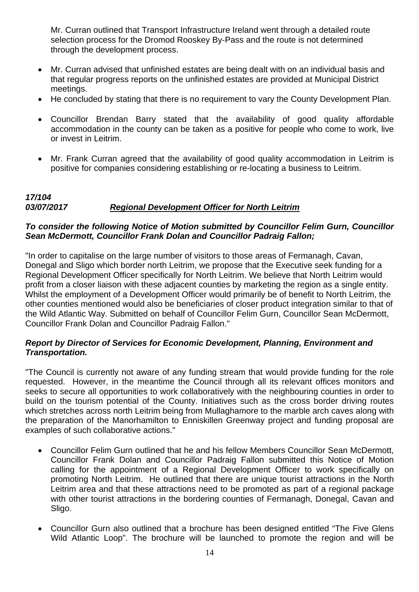Mr. Curran outlined that Transport Infrastructure Ireland went through a detailed route selection process for the Dromod Rooskey By-Pass and the route is not determined through the development process.

- Mr. Curran advised that unfinished estates are being dealt with on an individual basis and that regular progress reports on the unfinished estates are provided at Municipal District meetings.
- He concluded by stating that there is no requirement to vary the County Development Plan.
- Councillor Brendan Barry stated that the availability of good quality affordable accommodation in the county can be taken as a positive for people who come to work, live or invest in Leitrim.
- Mr. Frank Curran agreed that the availability of good quality accommodation in Leitrim is positive for companies considering establishing or re-locating a business to Leitrim.

## *17/104 03/07/2017 Regional Development Officer for North Leitrim*

## *To consider the following Notice of Motion submitted by Councillor Felim Gurn, Councillor Sean McDermott, Councillor Frank Dolan and Councillor Padraig Fallon;*

"In order to capitalise on the large number of visitors to those areas of Fermanagh, Cavan, Donegal and Sligo which border north Leitrim, we propose that the Executive seek funding for a Regional Development Officer specifically for North Leitrim. We believe that North Leitrim would profit from a closer liaison with these adjacent counties by marketing the region as a single entity. Whilst the employment of a Development Officer would primarily be of benefit to North Leitrim, the other counties mentioned would also be beneficiaries of closer product integration similar to that of the Wild Atlantic Way. Submitted on behalf of Councillor Felim Gurn, Councillor Sean McDermott, Councillor Frank Dolan and Councillor Padraig Fallon."

## *Report by Director of Services for Economic Development, Planning, Environment and Transportation.*

"The Council is currently not aware of any funding stream that would provide funding for the role requested. However, in the meantime the Council through all its relevant offices monitors and seeks to secure all opportunities to work collaboratively with the neighbouring counties in order to build on the tourism potential of the County. Initiatives such as the cross border driving routes which stretches across north Leitrim being from Mullaghamore to the marble arch caves along with the preparation of the Manorhamilton to Enniskillen Greenway project and funding proposal are examples of such collaborative actions."

- Councillor Felim Gurn outlined that he and his fellow Members Councillor Sean McDermott, Councillor Frank Dolan and Councillor Padraig Fallon submitted this Notice of Motion calling for the appointment of a Regional Development Officer to work specifically on promoting North Leitrim. He outlined that there are unique tourist attractions in the North Leitrim area and that these attractions need to be promoted as part of a regional package with other tourist attractions in the bordering counties of Fermanagh, Donegal, Cavan and Sligo.
- Councillor Gurn also outlined that a brochure has been designed entitled "The Five Glens Wild Atlantic Loop". The brochure will be launched to promote the region and will be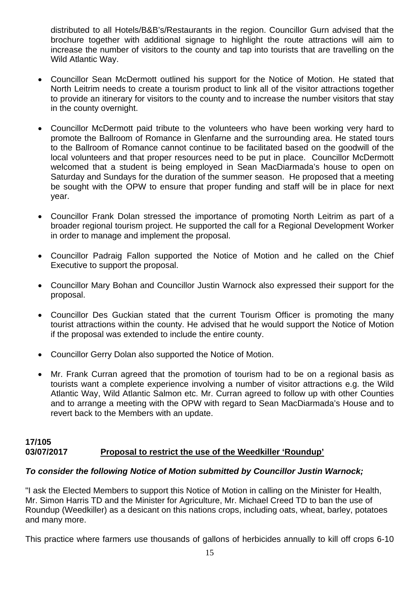distributed to all Hotels/B&B's/Restaurants in the region. Councillor Gurn advised that the brochure together with additional signage to highlight the route attractions will aim to increase the number of visitors to the county and tap into tourists that are travelling on the Wild Atlantic Way.

- Councillor Sean McDermott outlined his support for the Notice of Motion. He stated that North Leitrim needs to create a tourism product to link all of the visitor attractions together to provide an itinerary for visitors to the county and to increase the number visitors that stay in the county overnight.
- Councillor McDermott paid tribute to the volunteers who have been working very hard to promote the Ballroom of Romance in Glenfarne and the surrounding area. He stated tours to the Ballroom of Romance cannot continue to be facilitated based on the goodwill of the local volunteers and that proper resources need to be put in place. Councillor McDermott welcomed that a student is being employed in Sean MacDiarmada's house to open on Saturday and Sundays for the duration of the summer season. He proposed that a meeting be sought with the OPW to ensure that proper funding and staff will be in place for next year.
- Councillor Frank Dolan stressed the importance of promoting North Leitrim as part of a broader regional tourism project. He supported the call for a Regional Development Worker in order to manage and implement the proposal.
- Councillor Padraig Fallon supported the Notice of Motion and he called on the Chief Executive to support the proposal.
- Councillor Mary Bohan and Councillor Justin Warnock also expressed their support for the proposal.
- Councillor Des Guckian stated that the current Tourism Officer is promoting the many tourist attractions within the county. He advised that he would support the Notice of Motion if the proposal was extended to include the entire county.
- Councillor Gerry Dolan also supported the Notice of Motion.
- Mr. Frank Curran agreed that the promotion of tourism had to be on a regional basis as tourists want a complete experience involving a number of visitor attractions e.g. the Wild Atlantic Way, Wild Atlantic Salmon etc. Mr. Curran agreed to follow up with other Counties and to arrange a meeting with the OPW with regard to Sean MacDiarmada's House and to revert back to the Members with an update.

## **17/105 03/07/2017 Proposal to restrict the use of the Weedkiller 'Roundup'**

## *To consider the following Notice of Motion submitted by Councillor Justin Warnock;*

"I ask the Elected Members to support this Notice of Motion in calling on the Minister for Health, Mr. Simon Harris TD and the Minister for Agriculture, Mr. Michael Creed TD to ban the use of Roundup (Weedkiller) as a desicant on this nations crops, including oats, wheat, barley, potatoes and many more.

This practice where farmers use thousands of gallons of herbicides annually to kill off crops 6-10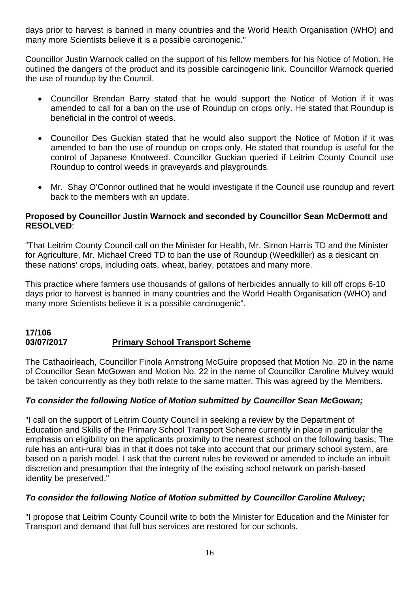days prior to harvest is banned in many countries and the World Health Organisation (WHO) and many more Scientists believe it is a possible carcinogenic."

Councillor Justin Warnock called on the support of his fellow members for his Notice of Motion. He outlined the dangers of the product and its possible carcinogenic link. Councillor Warnock queried the use of roundup by the Council.

- Councillor Brendan Barry stated that he would support the Notice of Motion if it was amended to call for a ban on the use of Roundup on crops only. He stated that Roundup is beneficial in the control of weeds.
- Councillor Des Guckian stated that he would also support the Notice of Motion if it was amended to ban the use of roundup on crops only. He stated that roundup is useful for the control of Japanese Knotweed. Councillor Guckian queried if Leitrim County Council use Roundup to control weeds in graveyards and playgrounds.
- Mr. Shay O'Connor outlined that he would investigate if the Council use roundup and revert back to the members with an update.

## **Proposed by Councillor Justin Warnock and seconded by Councillor Sean McDermott and RESOLVED**:

"That Leitrim County Council call on the Minister for Health, Mr. Simon Harris TD and the Minister for Agriculture, Mr. Michael Creed TD to ban the use of Roundup (Weedkiller) as a desicant on these nations' crops, including oats, wheat, barley, potatoes and many more.

This practice where farmers use thousands of gallons of herbicides annually to kill off crops 6-10 days prior to harvest is banned in many countries and the World Health Organisation (WHO) and many more Scientists believe it is a possible carcinogenic".

## **17/106 03/07/2017 Primary School Transport Scheme**

The Cathaoirleach, Councillor Finola Armstrong McGuire proposed that Motion No. 20 in the name of Councillor Sean McGowan and Motion No. 22 in the name of Councillor Caroline Mulvey would be taken concurrently as they both relate to the same matter. This was agreed by the Members.

# *To consider the following Notice of Motion submitted by Councillor Sean McGowan;*

"I call on the support of Leitrim County Council in seeking a review by the Department of Education and Skills of the Primary School Transport Scheme currently in place in particular the emphasis on eligibility on the applicants proximity to the nearest school on the following basis; The rule has an anti-rural bias in that it does not take into account that our primary school system, are based on a parish model. I ask that the current rules be reviewed or amended to include an inbuilt discretion and presumption that the integrity of the existing school network on parish-based identity be preserved."

## *To consider the following Notice of Motion submitted by Councillor Caroline Mulvey;*

"I propose that Leitrim County Council write to both the Minister for Education and the Minister for Transport and demand that full bus services are restored for our schools.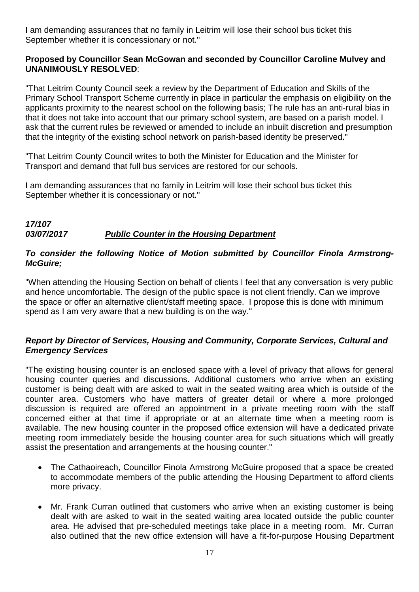I am demanding assurances that no family in Leitrim will lose their school bus ticket this September whether it is concessionary or not."

## **Proposed by Councillor Sean McGowan and seconded by Councillor Caroline Mulvey and UNANIMOUSLY RESOLVED**:

"That Leitrim County Council seek a review by the Department of Education and Skills of the Primary School Transport Scheme currently in place in particular the emphasis on eligibility on the applicants proximity to the nearest school on the following basis; The rule has an anti-rural bias in that it does not take into account that our primary school system, are based on a parish model. I ask that the current rules be reviewed or amended to include an inbuilt discretion and presumption that the integrity of the existing school network on parish-based identity be preserved."

"That Leitrim County Council writes to both the Minister for Education and the Minister for Transport and demand that full bus services are restored for our schools.

I am demanding assurances that no family in Leitrim will lose their school bus ticket this September whether it is concessionary or not."

#### *17/107 03/07/2017 Public Counter in the Housing Department*

## *To consider the following Notice of Motion submitted by Councillor Finola Armstrong-McGuire;*

"When attending the Housing Section on behalf of clients I feel that any conversation is very public and hence uncomfortable. The design of the public space is not client friendly. Can we improve the space or offer an alternative client/staff meeting space. I propose this is done with minimum spend as I am very aware that a new building is on the way."

## *Report by Director of Services, Housing and Community, Corporate Services, Cultural and Emergency Services*

"The existing housing counter is an enclosed space with a level of privacy that allows for general housing counter queries and discussions. Additional customers who arrive when an existing customer is being dealt with are asked to wait in the seated waiting area which is outside of the counter area. Customers who have matters of greater detail or where a more prolonged discussion is required are offered an appointment in a private meeting room with the staff concerned either at that time if appropriate or at an alternate time when a meeting room is available. The new housing counter in the proposed office extension will have a dedicated private meeting room immediately beside the housing counter area for such situations which will greatly assist the presentation and arrangements at the housing counter."

- The Cathaoireach, Councillor Finola Armstrong McGuire proposed that a space be created to accommodate members of the public attending the Housing Department to afford clients more privacy.
- Mr. Frank Curran outlined that customers who arrive when an existing customer is being dealt with are asked to wait in the seated waiting area located outside the public counter area. He advised that pre-scheduled meetings take place in a meeting room. Mr. Curran also outlined that the new office extension will have a fit-for-purpose Housing Department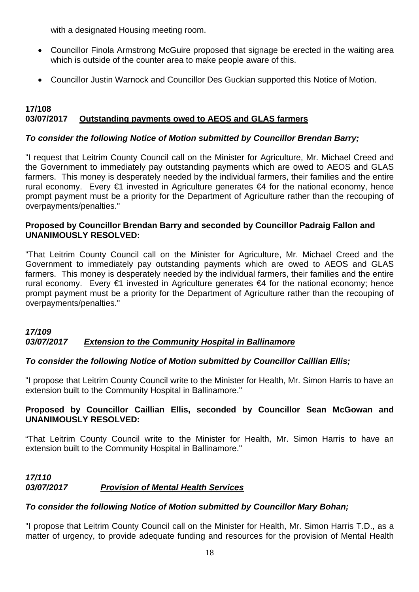with a designated Housing meeting room.

- Councillor Finola Armstrong McGuire proposed that signage be erected in the waiting area which is outside of the counter area to make people aware of this.
- Councillor Justin Warnock and Councillor Des Guckian supported this Notice of Motion.

## **17/108 03/07/2017 Outstanding payments owed to AEOS and GLAS farmers**

## *To consider the following Notice of Motion submitted by Councillor Brendan Barry;*

"I request that Leitrim County Council call on the Minister for Agriculture, Mr. Michael Creed and the Government to immediately pay outstanding payments which are owed to AEOS and GLAS farmers. This money is desperately needed by the individual farmers, their families and the entire rural economy. Every €1 invested in Agriculture generates €4 for the national economy, hence prompt payment must be a priority for the Department of Agriculture rather than the recouping of overpayments/penalties."

## **Proposed by Councillor Brendan Barry and seconded by Councillor Padraig Fallon and UNANIMOUSLY RESOLVED:**

"That Leitrim County Council call on the Minister for Agriculture, Mr. Michael Creed and the Government to immediately pay outstanding payments which are owed to AEOS and GLAS farmers. This money is desperately needed by the individual farmers, their families and the entire rural economy. Every €1 invested in Agriculture generates €4 for the national economy; hence prompt payment must be a priority for the Department of Agriculture rather than the recouping of overpayments/penalties."

## *17/109 03/07/2017 Extension to the Community Hospital in Ballinamore*

## *To consider the following Notice of Motion submitted by Councillor Caillian Ellis;*

"I propose that Leitrim County Council write to the Minister for Health, Mr. Simon Harris to have an extension built to the Community Hospital in Ballinamore."

## **Proposed by Councillor Caillian Ellis, seconded by Councillor Sean McGowan and UNANIMOUSLY RESOLVED:**

"That Leitrim County Council write to the Minister for Health, Mr. Simon Harris to have an extension built to the Community Hospital in Ballinamore."

## *17/110 03/07/2017 Provision of Mental Health Services*

## *To consider the following Notice of Motion submitted by Councillor Mary Bohan;*

"I propose that Leitrim County Council call on the Minister for Health, Mr. Simon Harris T.D., as a matter of urgency, to provide adequate funding and resources for the provision of Mental Health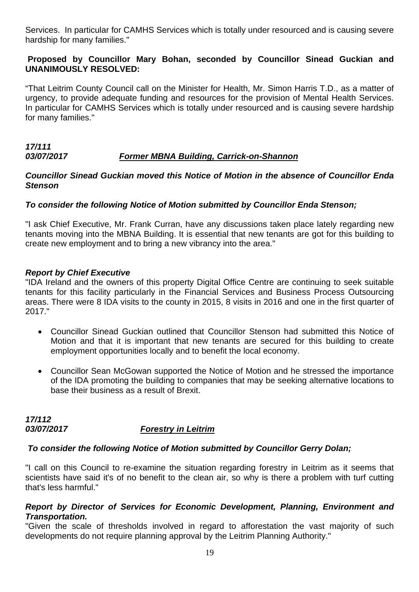Services. In particular for CAMHS Services which is totally under resourced and is causing severe hardship for many families."

## **Proposed by Councillor Mary Bohan, seconded by Councillor Sinead Guckian and UNANIMOUSLY RESOLVED:**

"That Leitrim County Council call on the Minister for Health, Mr. Simon Harris T.D., as a matter of urgency, to provide adequate funding and resources for the provision of Mental Health Services. In particular for CAMHS Services which is totally under resourced and is causing severe hardship for many families."

#### *17/111 03/07/2017 Former MBNA Building, Carrick-on-Shannon*

#### *Councillor Sinead Guckian moved this Notice of Motion in the absence of Councillor Enda Stenson*

## *To consider the following Notice of Motion submitted by Councillor Enda Stenson;*

"I ask Chief Executive, Mr. Frank Curran, have any discussions taken place lately regarding new tenants moving into the MBNA Building. It is essential that new tenants are got for this building to create new employment and to bring a new vibrancy into the area."

#### *Report by Chief Executive*

"IDA Ireland and the owners of this property Digital Office Centre are continuing to seek suitable tenants for this facility particularly in the Financial Services and Business Process Outsourcing areas. There were 8 IDA visits to the county in 2015, 8 visits in 2016 and one in the first quarter of 2017."

- Councillor Sinead Guckian outlined that Councillor Stenson had submitted this Notice of Motion and that it is important that new tenants are secured for this building to create employment opportunities locally and to benefit the local economy.
- Councillor Sean McGowan supported the Notice of Motion and he stressed the importance of the IDA promoting the building to companies that may be seeking alternative locations to base their business as a result of Brexit.

# *17/112 03/07/2017 Forestry in Leitrim*

## *To consider the following Notice of Motion submitted by Councillor Gerry Dolan;*

"I call on this Council to re-examine the situation regarding forestry in Leitrim as it seems that scientists have said it's of no benefit to the clean air, so why is there a problem with turf cutting that's less harmful."

#### *Report by Director of Services for Economic Development, Planning, Environment and Transportation.*

"Given the scale of thresholds involved in regard to afforestation the vast majority of such developments do not require planning approval by the Leitrim Planning Authority."